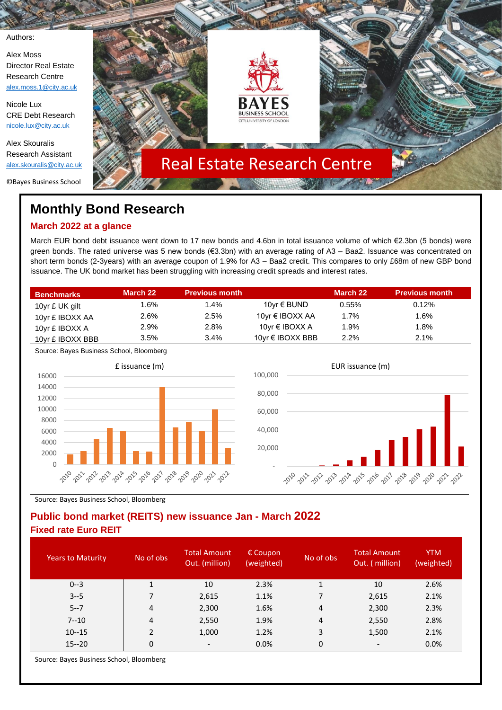Authors:

Alex Moss Director Real Estate Research Centre [alex.moss.1@city.ac.uk](mailto:alex.moss.1@city.ac.uk)

Nicole Lux CRE Debt Research [nicole.lux@city.ac.uk](mailto:nicole.lux@city.ac.uk)

Alex Skouralis Research Assistant [alex.skouralis@city.ac.uk](mailto:alex.skouralis@city.ac.uk)

©Bayes Business School



# The contract of the contract of the contract of the contract of the contract of the contract of the contract of **Monthly Bond Research**

# **March 2022 at a glance**

March EUR bond debt issuance went down to 17 new bonds and 4.6bn in total issuance volume of which €2.3bn (5 bonds) were green bonds. The rated universe was 5 new bonds (€3.3bn) with an average rating of A3 – Baa2. Issuance was concentrated on short term bonds (2-3years) with an average coupon of 1.9% for A3 – Baa2 credit. This compares to only £68m of new GBP bond issuance. The UK bond market has been struggling with increasing credit spreads and interest rates.

| <b>Benchmarks</b> | March 22 | <b>Previous month</b> |                  | March 22 | <b>Previous month</b> |
|-------------------|----------|-----------------------|------------------|----------|-----------------------|
| 10yr £ UK gilt    | 1.6%     | 1.4%                  | 10yr € BUND      | $0.55\%$ | 0.12%                 |
| 10yr £ IBOXX AA   | 2.6%     | 2.5%                  | 10yr € IBOXX AA  | $1.7\%$  | 1.6%                  |
| 10yr £ IBOXX A    | 2.9%     | 2.8%                  | 10yr € IBOXX A   | 1.9%     | $1.8\%$               |
| 10yr £ IBOXX BBB  | 3.5%     | 3.4%                  | 10yr € IBOXX BBB | 2.2%     | 2.1%                  |

Source: Bayes Business School, Bloomberg





Source: Bayes Business School, Bloomberg

## **Public bond market (REITS) new issuance Jan - March 2022 Fixed rate Euro REIT**

| <b>Years to Maturity</b> | No of obs      | <b>Total Amount</b><br>Out. (million) | $\epsilon$ Coupon<br>(weighted) | No of obs | <b>Total Amount</b><br>Out. (million) | <b>YTM</b><br>(weighted) |
|--------------------------|----------------|---------------------------------------|---------------------------------|-----------|---------------------------------------|--------------------------|
| $0 - 3$                  | 1              | 10                                    | 2.3%                            | 1         | 10                                    | 2.6%                     |
| $3 - 5$                  |                | 2,615                                 | 1.1%                            | 7         | 2,615                                 | 2.1%                     |
| $5 - 7$                  | 4              | 2,300                                 | 1.6%                            | 4         | 2,300                                 | 2.3%                     |
| $7 - 10$                 | $\overline{4}$ | 2,550                                 | 1.9%                            | 4         | 2,550                                 | 2.8%                     |
| $10 - 15$                | 2              | 1,000                                 | 1.2%                            | 3         | 1,500                                 | 2.1%                     |
| $15 - 20$                | $\Omega$       | $\overline{\phantom{0}}$              | 0.0%                            | 0         | $\qquad \qquad \blacksquare$          | 0.0%                     |

Source: Bayes Business School, Bloomberg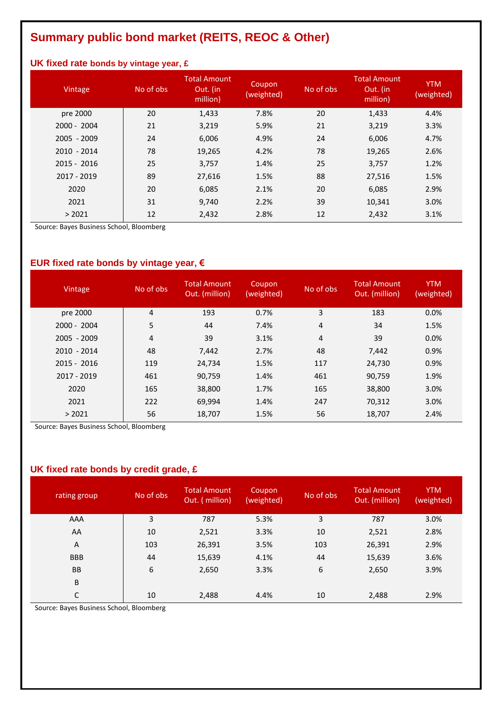# **Summary public bond market (REITS, REOC & Other)**

### **UK fixed rate bonds by vintage year, £**

| Vintage       | No of obs | <b>Total Amount</b><br>Out. (in<br>million) | Coupon<br>(weighted) | No of obs | <b>Total Amount</b><br>Out. (in<br>million) | <b>YTM</b><br>(weighted) |
|---------------|-----------|---------------------------------------------|----------------------|-----------|---------------------------------------------|--------------------------|
| pre 2000      | 20        | 1,433                                       | 7.8%                 | 20        | 1,433                                       | 4.4%                     |
| $2000 - 2004$ | 21        | 3,219                                       | 5.9%                 | 21        | 3,219                                       | 3.3%                     |
| $2005 - 2009$ | 24        | 6,006                                       | 4.9%                 | 24        | 6,006                                       | 4.7%                     |
| $2010 - 2014$ | 78        | 19,265                                      | 4.2%                 | 78        | 19,265                                      | 2.6%                     |
| $2015 - 2016$ | 25        | 3,757                                       | 1.4%                 | 25        | 3,757                                       | 1.2%                     |
| 2017 - 2019   | 89        | 27,616                                      | 1.5%                 | 88        | 27,516                                      | 1.5%                     |
| 2020          | 20        | 6,085                                       | 2.1%                 | 20        | 6,085                                       | 2.9%                     |
| 2021          | 31        | 9,740                                       | 2.2%                 | 39        | 10,341                                      | 3.0%                     |
| > 2021        | 12        | 2,432                                       | 2.8%                 | 12        | 2,432                                       | 3.1%                     |

Source: Bayes Business School, Bloomberg

## **EUR fixed rate bonds by vintage year, €**

| Vintage       | No of obs | <b>Total Amount</b><br>Out. (million) | Coupon<br>(weighted) | No of obs | <b>Total Amount</b><br>Out. (million) | <b>YTM</b><br>(weighted) |
|---------------|-----------|---------------------------------------|----------------------|-----------|---------------------------------------|--------------------------|
| pre 2000      | 4         | 193                                   | 0.7%                 | 3         | 183                                   | 0.0%                     |
| $2000 - 2004$ | 5         | 44                                    | 7.4%                 | 4         | 34                                    | 1.5%                     |
| $2005 - 2009$ | 4         | 39                                    | 3.1%                 | 4         | 39                                    | 0.0%                     |
| $2010 - 2014$ | 48        | 7,442                                 | 2.7%                 | 48        | 7,442                                 | 0.9%                     |
| $2015 - 2016$ | 119       | 24,734                                | 1.5%                 | 117       | 24,730                                | 0.9%                     |
| 2017 - 2019   | 461       | 90,759                                | 1.4%                 | 461       | 90,759                                | 1.9%                     |
| 2020          | 165       | 38,800                                | 1.7%                 | 165       | 38,800                                | 3.0%                     |
| 2021          | 222       | 69,994                                | 1.4%                 | 247       | 70,312                                | 3.0%                     |
| > 2021        | 56        | 18,707                                | 1.5%                 | 56        | 18,707                                | 2.4%                     |

Source: Bayes Business School, Bloomberg

## **UK fixed rate bonds by credit grade, £**

| rating group | No of obs | <b>Total Amount</b><br>Out. (million) | Coupon<br>(weighted) | No of obs | <b>Total Amount</b><br>Out. (million) | <b>YTM</b><br>(weighted) |
|--------------|-----------|---------------------------------------|----------------------|-----------|---------------------------------------|--------------------------|
| AAA          | 3         | 787                                   | 5.3%                 | 3         | 787                                   | 3.0%                     |
| AA           | 10        | 2,521                                 | 3.3%                 | 10        | 2,521                                 | 2.8%                     |
| A            | 103       | 26,391                                | 3.5%                 | 103       | 26,391                                | 2.9%                     |
| <b>BBB</b>   | 44        | 15,639                                | 4.1%                 | 44        | 15,639                                | 3.6%                     |
| <b>BB</b>    | 6         | 2,650                                 | 3.3%                 | 6         | 2,650                                 | 3.9%                     |
| B            |           |                                       |                      |           |                                       |                          |
| C            | 10        | 2,488                                 | 4.4%                 | 10        | 2,488                                 | 2.9%                     |

Source: Bayes Business School, Bloomberg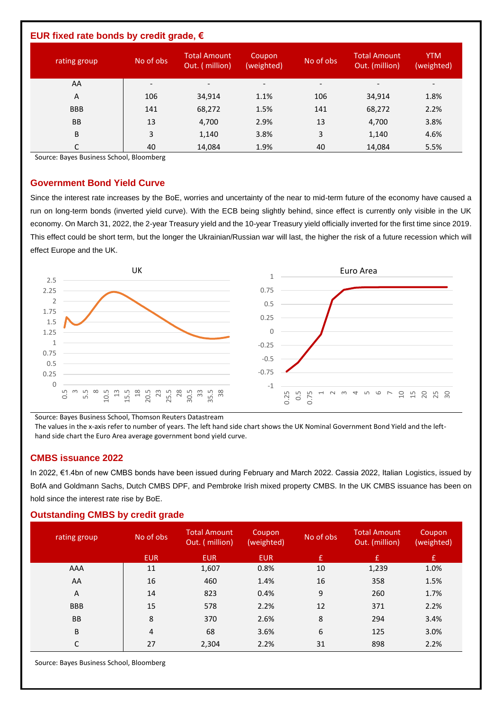| EUR fixed rate bonds by credit grade, $\epsilon$ |                          |                                       |                          |                          |                                       |                              |  |  |
|--------------------------------------------------|--------------------------|---------------------------------------|--------------------------|--------------------------|---------------------------------------|------------------------------|--|--|
| rating group                                     | No of obs                | <b>Total Amount</b><br>Out. (million) | Coupon<br>(weighted)     | No of obs                | <b>Total Amount</b><br>Out. (million) | <b>YTM</b><br>(weighted)     |  |  |
| AA                                               | $\overline{\phantom{0}}$ | $\overline{\phantom{0}}$              | $\overline{\phantom{a}}$ | $\overline{\phantom{a}}$ |                                       | $\qquad \qquad \blacksquare$ |  |  |
| A                                                | 106                      | 34,914                                | 1.1%                     | 106                      | 34,914                                | 1.8%                         |  |  |
| <b>BBB</b>                                       | 141                      | 68,272                                | 1.5%                     | 141                      | 68,272                                | 2.2%                         |  |  |
| <b>BB</b>                                        | 13                       | 4,700                                 | 2.9%                     | 13                       | 4,700                                 | 3.8%                         |  |  |
| B                                                | 3                        | 1,140                                 | 3.8%                     | 3                        | 1,140                                 | 4.6%                         |  |  |
| С                                                | 40                       | 14,084                                | 1.9%                     | 40                       | 14,084                                | 5.5%                         |  |  |

Source: Bayes Business School, Bloomberg

#### **Government Bond Yield Curve**

Since the interest rate increases by the BoE, worries and uncertainty of the near to mid-term future of the economy have caused a run on long-term bonds (inverted yield curve). With the ECB being slightly behind, since effect is currently only visible in the UK economy. On March 31, 2022, the 2-year Treasury yield and the 10-year Treasury yield officially inverted for the first time since 2019. This effect could be short term, but the longer the Ukrainian/Russian war will last, the higher the risk of a future recession which will effect Europe and the UK.



Source: Bayes Business School, Thomson Reuters Datastream

The values in the x-axis refer to number of years. The left hand side chart shows the UK Nominal Government Bond Yield and the lefthand side chart the Euro Area average government bond yield curve.

### **CMBS issuance 2022**

In 2022, €1.4bn of new CMBS bonds have been issued during February and March 2022. Cassia 2022, Italian Logistics, issued by BofA and Goldmann Sachs, Dutch CMBS DPF, and Pembroke Irish mixed property CMBS. In the UK CMBS issuance has been on hold since the interest rate rise by BoE.

#### **Outstanding CMBS by credit grade**

| rating group | No of obs  | <b>Total Amount</b><br>Out. (million) | Coupon<br>(weighted) | No of obs | <b>Total Amount</b><br>Out. (million) | Coupon<br>(weighted) |
|--------------|------------|---------------------------------------|----------------------|-----------|---------------------------------------|----------------------|
|              | <b>EUR</b> | <b>EUR</b>                            | <b>EUR</b>           | £         | $\mathbf{f}$                          | $\mathbf{f}$         |
| AAA          | 11         | 1,607                                 | 0.8%                 | 10        | 1,239                                 | 1.0%                 |
| AA           | 16         | 460                                   | 1.4%                 | 16        | 358                                   | 1.5%                 |
| Α            | 14         | 823                                   | 0.4%                 | 9         | 260                                   | 1.7%                 |
| <b>BBB</b>   | 15         | 578                                   | 2.2%                 | 12        | 371                                   | 2.2%                 |
| <b>BB</b>    | 8          | 370                                   | 2.6%                 | 8         | 294                                   | 3.4%                 |
| B            | 4          | 68                                    | 3.6%                 | 6         | 125                                   | 3.0%                 |
| C            | 27         | 2,304                                 | 2.2%                 | 31        | 898                                   | 2.2%                 |

Source: Bayes Business School, Bloomberg